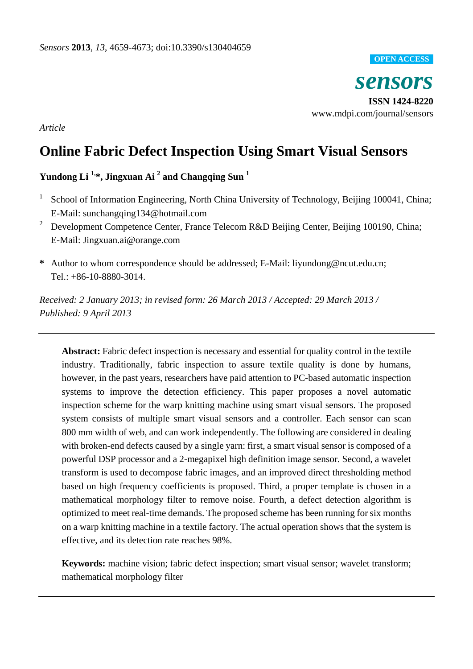#### **OPEN ACCESS**

*sensors* **ISSN 1424-8220** www.mdpi.com/journal/sensors

*Article*

# **Online Fabric Defect Inspection Using Smart Visual Sensors**

# **Yundong Li 1, \*, Jingxuan Ai <sup>2</sup> and Changqing Sun <sup>1</sup>**

- 1 School of Information Engineering, North China University of Technology, Beijing 100041, China; E-Mail: sunchangqing134@hotmail.com
- <sup>2</sup> Development Competence Center, France Telecom R&D Beijing Center, Beijing 100190, China; E-Mail: Jingxuan.ai@orange.com
- **\*** Author to whom correspondence should be addressed; E-Mail: liyundong@ncut.edu.cn; Tel.: +86-10-8880-3014.

*Received: 2 January 2013; in revised form: 26 March 2013 / Accepted: 29 March 2013 / Published: 9 April 2013*

**Abstract:** Fabric defect inspection is necessary and essential for quality control in the textile industry. Traditionally, fabric inspection to assure textile quality is done by humans, however, in the past years, researchers have paid attention to PC-based automatic inspection systems to improve the detection efficiency. This paper proposes a novel automatic inspection scheme for the warp knitting machine using smart visual sensors. The proposed system consists of multiple smart visual sensors and a controller. Each sensor can scan 800 mm width of web, and can work independently. The following are considered in dealing with broken-end defects caused by a single yarn: first, a smart visual sensor is composed of a powerful DSP processor and a 2-megapixel high definition image sensor. Second, a wavelet transform is used to decompose fabric images, and an improved direct thresholding method based on high frequency coefficients is proposed. Third, a proper template is chosen in a mathematical morphology filter to remove noise. Fourth, a defect detection algorithm is optimized to meet real-time demands. The proposed scheme has been running for six months on a warp knitting machine in a textile factory. The actual operation shows that the system is effective, and its detection rate reaches 98%.

**Keywords:** machine vision; fabric defect inspection; smart visual sensor; wavelet transform; mathematical morphology filter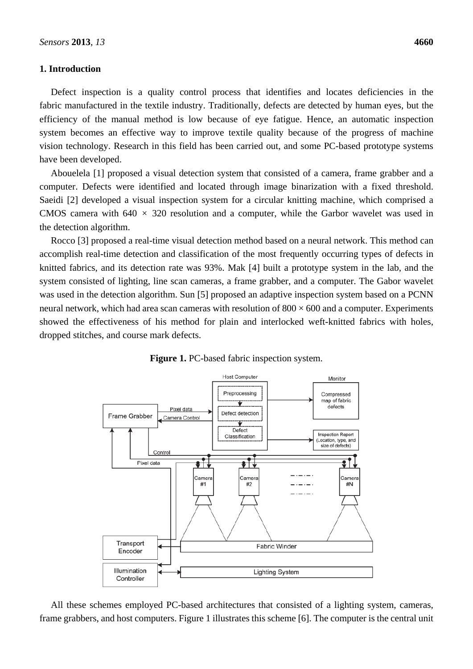#### **1. Introduction**

Defect inspection is a quality control process that identifies and locates deficiencies in the fabric manufactured in the textile industry. Traditionally, defects are detected by human eyes, but the efficiency of the manual method is low because of eye fatigue. Hence, an automatic inspection system becomes an effective way to improve textile quality because of the progress of machine vision technology. Research in this field has been carried out, and some PC-based prototype systems have been developed.

Abouelela [1] proposed a visual detection system that consisted of a camera, frame grabber and a computer. Defects were identified and located through image binarization with a fixed threshold. Saeidi [2] developed a visual inspection system for a circular knitting machine, which comprised a CMOS camera with  $640 \times 320$  resolution and a computer, while the Garbor wavelet was used in the detection algorithm.

Rocco [3] proposed a real-time visual detection method based on a neural network. This method can accomplish real-time detection and classification of the most frequently occurring types of defects in knitted fabrics, and its detection rate was 93%. Mak [4] built a prototype system in the lab, and the system consisted of lighting, line scan cameras, a frame grabber, and a computer. The Gabor wavelet was used in the detection algorithm. Sun [5] proposed an adaptive inspection system based on a PCNN neural network, which had area scan cameras with resolution of  $800 \times 600$  and a computer. Experiments showed the effectiveness of his method for plain and interlocked weft-knitted fabrics with holes, dropped stitches, and course mark defects.



**Figure 1.** PC-based fabric inspection system.

All these schemes employed PC-based architectures that consisted of a lighting system, cameras, frame grabbers, and host computers. Figure 1 illustrates this scheme [6]. The computer is the central unit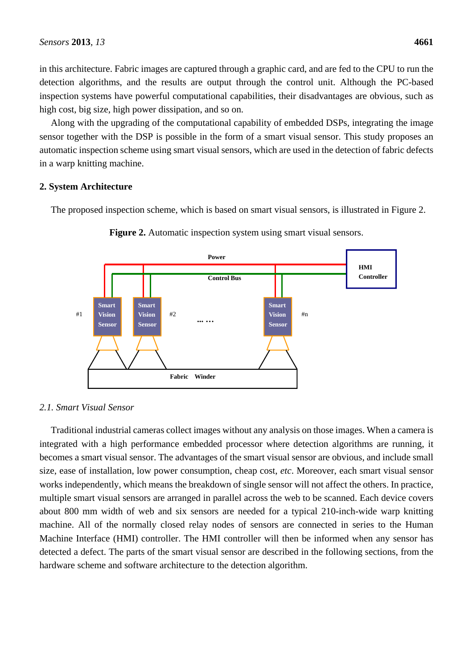in this architecture. Fabric images are captured through a graphic card, and are fed to the CPU to run the detection algorithms, and the results are output through the control unit. Although the PC-based inspection systems have powerful computational capabilities, their disadvantages are obvious, such as high cost, big size, high power dissipation, and so on.

Along with the upgrading of the computational capability of embedded DSPs, integrating the image sensor together with the DSP is possible in the form of a smart visual sensor. This study proposes an automatic inspection scheme using smart visual sensors, which are used in the detection of fabric defects in a warp knitting machine.

## **2. System Architecture**

The proposed inspection scheme, which is based on smart visual sensors, is illustrated in Figure 2.





# *2.1. Smart Visual Sensor*

Traditional industrial cameras collect images without any analysis on those images. When a camera is integrated with a high performance embedded processor where detection algorithms are running, it becomes a smart visual sensor. The advantages of the smart visual sensor are obvious, and include small size, ease of installation, low power consumption, cheap cost, *etc*. Moreover, each smart visual sensor works independently, which means the breakdown of single sensor will not affect the others. In practice, multiple smart visual sensors are arranged in parallel across the web to be scanned. Each device covers about 800 mm width of web and six sensors are needed for a typical 210-inch-wide warp knitting machine. All of the normally closed relay nodes of sensors are connected in series to the Human Machine Interface (HMI) controller. The HMI controller will then be informed when any sensor has detected a defect. The parts of the smart visual sensor are described in the following sections, from the hardware scheme and software architecture to the detection algorithm.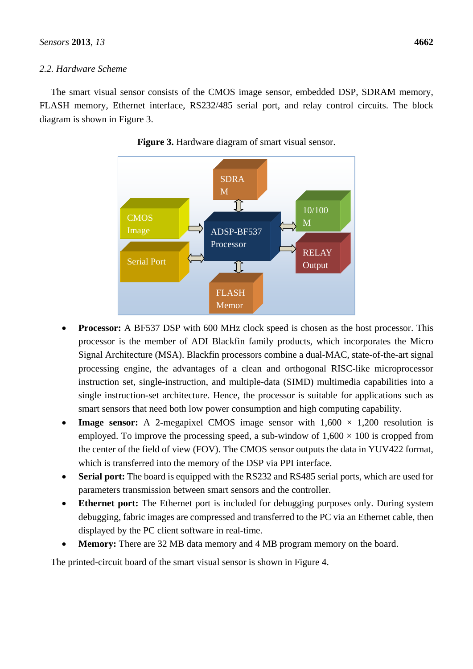## *2.2. Hardware Scheme*

The smart visual sensor consists of the CMOS image sensor, embedded DSP, SDRAM memory, FLASH memory, Ethernet interface, RS232/485 serial port, and relay control circuits. The block diagram is shown in Figure 3.





- **Processor:** A BF537 DSP with 600 MHz clock speed is chosen as the host processor. This processor is the member of ADI Blackfin family products, which incorporates the Micro Signal Architecture (MSA). Blackfin processors combine a dual-MAC, state-of-the-art signal processing engine, the advantages of a clean and orthogonal RISC-like microprocessor instruction set, single-instruction, and multiple-data (SIMD) multimedia capabilities into a single instruction-set architecture. Hence, the processor is suitable for applications such as smart sensors that need both low power consumption and high computing capability.
- **Image sensor:** A 2-megapixel CMOS image sensor with  $1,600 \times 1,200$  resolution is employed. To improve the processing speed, a sub-window of  $1,600 \times 100$  is cropped from the center of the field of view (FOV). The CMOS sensor outputs the data in YUV422 format, which is transferred into the memory of the DSP via PPI interface.
- **Serial port:** The board is equipped with the RS232 and RS485 serial ports, which are used for parameters transmission between smart sensors and the controller.
- **Ethernet port:** The Ethernet port is included for debugging purposes only. During system debugging, fabric images are compressed and transferred to the PC via an Ethernet cable, then displayed by the PC client software in real-time.
- **Memory:** There are 32 MB data memory and 4 MB program memory on the board.

The printed-circuit board of the smart visual sensor is shown in Figure 4.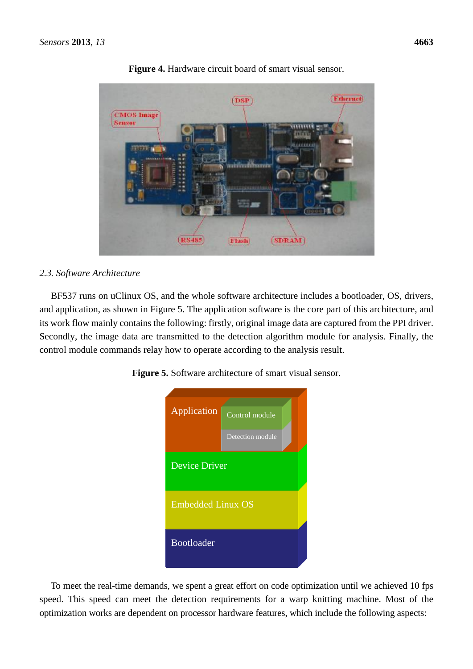

**Figure 4.** Hardware circuit board of smart visual sensor.

## *2.3. Software Architecture*

BF537 runs on uClinux OS, and the whole software architecture includes a bootloader, OS, drivers, and application, as shown in Figure 5. The application software is the core part of this architecture, and its work flow mainly contains the following: firstly, original image data are captured from the PPI driver. Secondly, the image data are transmitted to the detection algorithm module for analysis. Finally, the control module commands relay how to operate according to the analysis result.

| Application              | Control module   |  |
|--------------------------|------------------|--|
|                          | Detection module |  |
| <b>Device Driver</b>     |                  |  |
| <b>Embedded Linux OS</b> |                  |  |
| <b>Bootloader</b>        |                  |  |

**Figure 5.** Software architecture of smart visual sensor.

To meet the real-time demands, we spent a great effort on code optimization until we achieved 10 fps speed. This speed can meet the detection requirements for a warp knitting machine. Most of the optimization works are dependent on processor hardware features, which include the following aspects: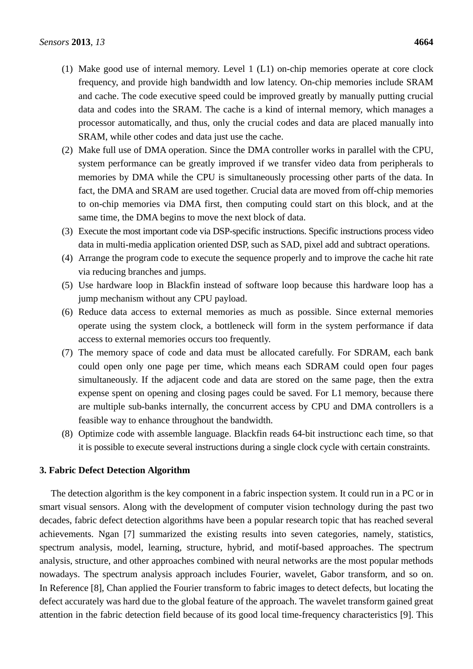- (1) Make good use of internal memory. Level 1 (L1) on-chip memories operate at core clock frequency, and provide high bandwidth and low latency. On-chip memories include SRAM and cache. The code executive speed could be improved greatly by manually putting crucial data and codes into the SRAM. The cache is a kind of internal memory, which manages a processor automatically, and thus, only the crucial codes and data are placed manually into SRAM, while other codes and data just use the cache.
- (2) Make full use of DMA operation. Since the DMA controller works in parallel with the CPU, system performance can be greatly improved if we transfer video data from peripherals to memories by DMA while the CPU is simultaneously processing other parts of the data. In fact, the DMA and SRAM are used together. Crucial data are moved from off-chip memories to on-chip memories via DMA first, then computing could start on this block, and at the same time, the DMA begins to move the next block of data.
- (3) Execute the most important code via DSP-specific instructions. Specific instructions process video data in multi-media application oriented DSP, such as SAD, pixel add and subtract operations.
- (4) Arrange the program code to execute the sequence properly and to improve the cache hit rate via reducing branches and jumps.
- (5) Use hardware loop in Blackfin instead of software loop because this hardware loop has a jump mechanism without any CPU payload.
- (6) Reduce data access to external memories as much as possible. Since external memories operate using the system clock, a bottleneck will form in the system performance if data access to external memories occurs too frequently.
- (7) The memory space of code and data must be allocated carefully. For SDRAM, each bank could open only one page per time, which means each SDRAM could open four pages simultaneously. If the adjacent code and data are stored on the same page, then the extra expense spent on opening and closing pages could be saved. For L1 memory, because there are multiple sub-banks internally, the concurrent access by CPU and DMA controllers is a feasible way to enhance throughout the bandwidth.
- (8) Optimize code with assemble language. Blackfin reads 64-bit instructionc each time, so that it is possible to execute several instructions during a single clock cycle with certain constraints.

#### **3. Fabric Defect Detection Algorithm**

The detection algorithm is the key component in a fabric inspection system. It could run in a PC or in smart visual sensors. Along with the development of computer vision technology during the past two decades, fabric defect detection algorithms have been a popular research topic that has reached several achievements. Ngan [7] summarized the existing results into seven categories, namely, statistics, spectrum analysis, model, learning, structure, hybrid, and motif-based approaches. The spectrum analysis, structure, and other approaches combined with neural networks are the most popular methods nowadays. The spectrum analysis approach includes Fourier, wavelet, Gabor transform, and so on. In Reference [8], Chan applied the Fourier transform to fabric images to detect defects, but locating the defect accurately was hard due to the global feature of the approach. The wavelet transform gained great attention in the fabric detection field because of its good local time-frequency characteristics [9]. This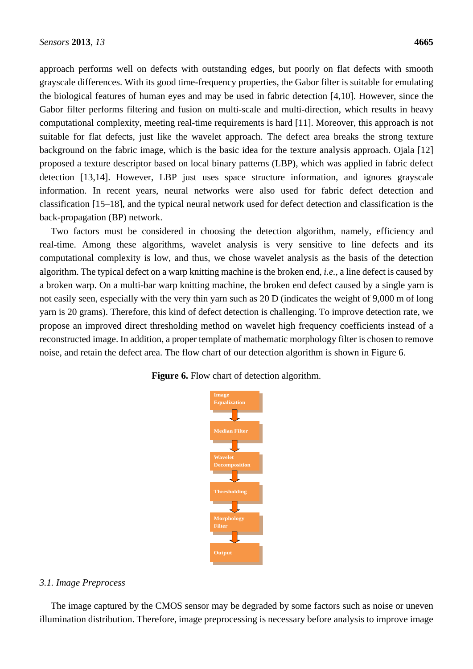approach performs well on defects with outstanding edges, but poorly on flat defects with smooth grayscale differences. With its good time-frequency properties, the Gabor filter is suitable for emulating the biological features of human eyes and may be used in fabric detection [4,10]. However, since the Gabor filter performs filtering and fusion on multi-scale and multi-direction, which results in heavy computational complexity, meeting real-time requirements is hard [11]. Moreover, this approach is not suitable for flat defects, just like the wavelet approach. The defect area breaks the strong texture background on the fabric image, which is the basic idea for the texture analysis approach. Ojala [12] proposed a texture descriptor based on local binary patterns (LBP), which was applied in fabric defect detection [13,14]. However, LBP just uses space structure information, and ignores grayscale information. In recent years, neural networks were also used for fabric defect detection and classification [15–18], and the typical neural network used for defect detection and classification is the back-propagation (BP) network.

Two factors must be considered in choosing the detection algorithm, namely, efficiency and real-time. Among these algorithms, wavelet analysis is very sensitive to line defects and its computational complexity is low, and thus, we chose wavelet analysis as the basis of the detection algorithm. The typical defect on a warp knitting machine is the broken end, *i.e.*, a line defect is caused by a broken warp. On a multi-bar warp knitting machine, the broken end defect caused by a single yarn is not easily seen, especially with the very thin yarn such as 20 D (indicates the weight of 9,000 m of long yarn is 20 grams). Therefore, this kind of defect detection is challenging. To improve detection rate, we propose an improved direct thresholding method on wavelet high frequency coefficients instead of a reconstructed image. In addition, a proper template of mathematic morphology filter is chosen to remove noise, and retain the defect area. The flow chart of our detection algorithm is shown in Figure 6.

#### **Figure 6.** Flow chart of detection algorithm.



#### *3.1. Image Preprocess*

The image captured by the CMOS sensor may be degraded by some factors such as noise or uneven illumination distribution. Therefore, image preprocessing is necessary before analysis to improve image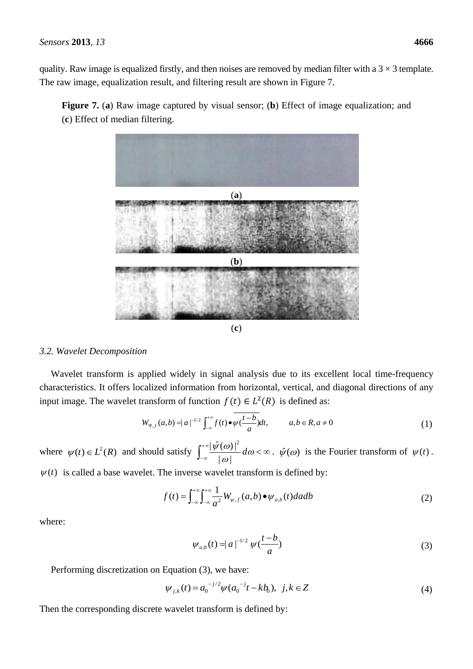quality. Raw image is equalized firstly, and then noises are removed by median filter with a  $3 \times 3$  template. The raw image, equalization result, and filtering result are shown in Figure 7.

**Figure 7.** (**a**) Raw image captured by visual sensor; (**b**) Effect of image equalization; and (**c**) Effect of median filtering.





#### *3.2. Wavelet Decomposition*

Wavelet transform is applied widely in signal analysis due to its excellent local time-frequency characteristics. It offers localized information from horizontal, vertical, and diagonal directions of any input image. The wavelet transform of function  $f(t) \in L^2(R)$  is defined as:

$$
W_{\Psi,f}(a,b) = |a|^{-1/2} \int_{-\infty}^{+\infty} f(t) \bullet \overline{\psi(\frac{t-b}{a})} dt, \qquad a,b \in R, a \neq 0
$$
 (1)

where  $\psi(t) \in L^2(R)$  and should satisfy  $\int_{-\infty}^{+\infty}$  $-\infty$   $\frac{|\varphi(\omega)|}{|\omega|}$  d  $\omega < \infty$  $\frac{\psi(\omega)\Gamma}{\omega}d$  $| \omega |$  $|\hat{\psi}(\omega)|^2$  $\hat{\psi}(\omega)$  is the Fourier transform of  $\psi(t)$ .

 $\psi(t)$  is called a base wavelet. The inverse wavelet transform is defined by:

$$
f(t) = \int_{-\infty}^{+\infty} \int_{-\infty}^{+\infty} \frac{1}{a^2} W_{\psi,f}(a,b) \bullet \psi_{a,b}(t) da db \tag{2}
$$

where:

$$
\psi_{a,b}(t) = |a|^{-1/2} \psi(\frac{t-b}{a})
$$
\n(3)

Performing discretization on Equation (3), we have:

Equation (3), we have.  
\n
$$
\psi_{j,k}(t) = a_0^{-j/2} \psi(a_0^{-j}t - kb_0), \ j, k \in \mathbb{Z}
$$
\n(4)

Then the corresponding discrete wavelet transform is defined by: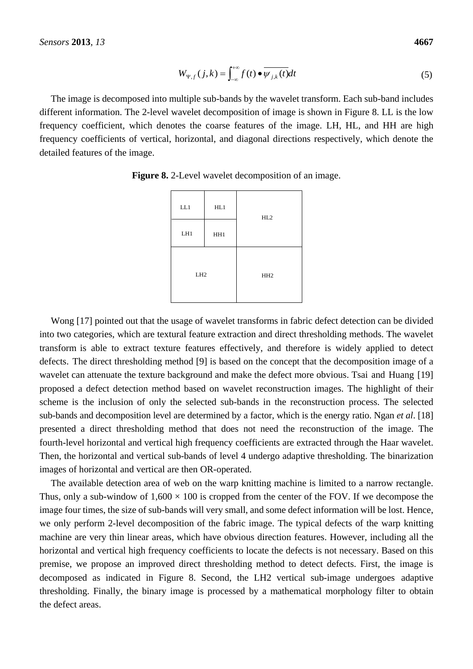$$
W_{\Psi,f}(j,k) = \int_{-\infty}^{+\infty} f(t) \bullet \overline{\psi_{j,k}(t)} dt
$$
 (5)

The image is decomposed into multiple sub-bands by the wavelet transform. Each sub-band includes different information. The 2-level wavelet decomposition of image is shown in Figure 8. LL is the low frequency coefficient, which denotes the coarse features of the image. LH, HL, and HH are high frequency coefficients of vertical, horizontal, and diagonal directions respectively, which denote the detailed features of the image.

| LL1             | HL1 | HL2             |  |
|-----------------|-----|-----------------|--|
| LH1             | HH1 |                 |  |
| LH <sub>2</sub> |     | HH <sub>2</sub> |  |

**Figure 8.** 2-Level wavelet decomposition of an image.

Wong [17] pointed out that the usage of wavelet transforms in fabric defect detection can be divided into two categories, which are textural feature extraction and direct thresholding methods. The wavelet transform is able to extract texture features effectively, and therefore is widely applied to detect defects. The direct thresholding method [9] is based on the concept that the decomposition image of a wavelet can attenuate the texture background and make the defect more obvious. Tsai and Huang [19] proposed a defect detection method based on wavelet reconstruction images. The highlight of their scheme is the inclusion of only the selected sub-bands in the reconstruction process. The selected sub-bands and decomposition level are determined by a factor, which is the energy ratio. Ngan *et al*. [18] presented a direct thresholding method that does not need the reconstruction of the image. The fourth-level horizontal and vertical high frequency coefficients are extracted through the Haar wavelet. Then, the horizontal and vertical sub-bands of level 4 undergo adaptive thresholding. The binarization images of horizontal and vertical are then OR-operated.

The available detection area of web on the warp knitting machine is limited to a narrow rectangle. Thus, only a sub-window of  $1,600 \times 100$  is cropped from the center of the FOV. If we decompose the image four times, the size of sub-bands will very small, and some defect information will be lost. Hence, we only perform 2-level decomposition of the fabric image. The typical defects of the warp knitting machine are very thin linear areas, which have obvious direction features. However, including all the horizontal and vertical high frequency coefficients to locate the defects is not necessary. Based on this premise, we propose an improved direct thresholding method to detect defects. First, the image is decomposed as indicated in Figure 8. Second, the LH2 vertical sub-image undergoes adaptive thresholding. Finally, the binary image is processed by a mathematical morphology filter to obtain the defect areas.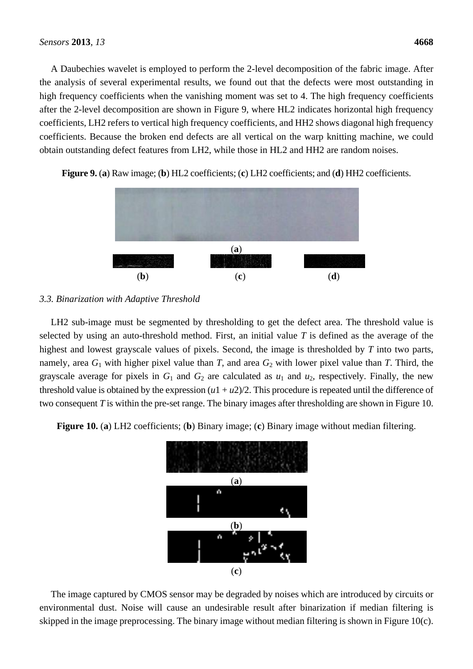A Daubechies wavelet is employed to perform the 2-level decomposition of the fabric image. After the analysis of several experimental results, we found out that the defects were most outstanding in high frequency coefficients when the vanishing moment was set to 4. The high frequency coefficients after the 2-level decomposition are shown in Figure 9, where HL2 indicates horizontal high frequency coefficients, LH2 refers to vertical high frequency coefficients, and HH2 shows diagonal high frequency coefficients. Because the broken end defects are all vertical on the warp knitting machine, we could obtain outstanding defect features from LH2, while those in HL2 and HH2 are random noises.



**Figure 9.** (**a**) Raw image; (**b**) HL2 coefficients; (**c**) LH2 coefficients; and (**d**) HH2 coefficients.

## *3.3. Binarization with Adaptive Threshold*

LH2 sub-image must be segmented by thresholding to get the defect area. The threshold value is selected by using an auto-threshold method. First, an initial value *T* is defined as the average of the highest and lowest grayscale values of pixels. Second, the image is thresholded by *T* into two parts, namely, area  $G_1$  with higher pixel value than *T*, and area  $G_2$  with lower pixel value than *T*. Third, the grayscale average for pixels in  $G_1$  and  $G_2$  are calculated as  $u_1$  and  $u_2$ , respectively. Finally, the new threshold value is obtained by the expression  $(u_1 + u_2)/2$ . This procedure is repeated until the difference of two consequent *T* is within the pre-set range. The binary images after thresholding are shown in Figure 10.

**Figure 10.** (**a**) LH2 coefficients; (**b**) Binary image; (**c**) Binary image without median filtering.



The image captured by CMOS sensor may be degraded by noises which are introduced by circuits or environmental dust. Noise will cause an undesirable result after binarization if median filtering is skipped in the image preprocessing. The binary image without median filtering is shown in Figure 10(c).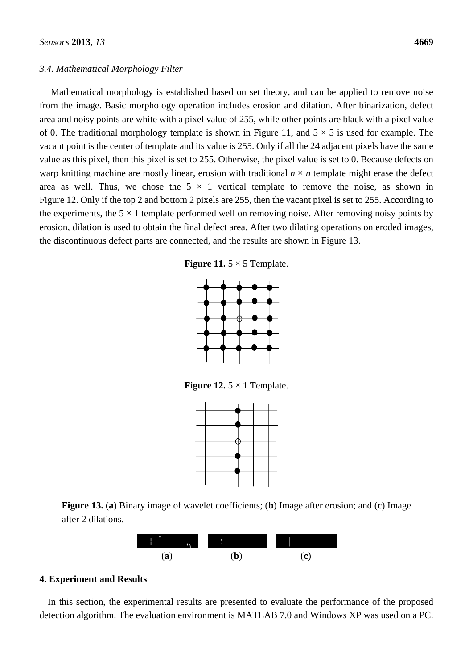#### *3.4. Mathematical Morphology Filter*

Mathematical morphology is established based on set theory, and can be applied to remove noise from the image. Basic morphology operation includes erosion and dilation. After binarization, defect area and noisy points are white with a pixel value of 255, while other points are black with a pixel value of 0. The traditional morphology template is shown in Figure 11, and  $5 \times 5$  is used for example. The vacant point is the center of template and its value is 255. Only if all the 24 adjacent pixels have the same value as this pixel, then this pixel is set to 255. Otherwise, the pixel value is set to 0. Because defects on warp knitting machine are mostly linear, erosion with traditional  $n \times n$  template might erase the defect area as well. Thus, we chose the  $5 \times 1$  vertical template to remove the noise, as shown in Figure 12. Only if the top 2 and bottom 2 pixels are 255, then the vacant pixel is set to 255. According to the experiments, the  $5 \times 1$  template performed well on removing noise. After removing noisy points by erosion, dilation is used to obtain the final defect area. After two dilating operations on eroded images, the discontinuous defect parts are connected, and the results are shown in Figure 13.

**Figure** 11. 5  $\times$  5 Template.



**Figure 12.** 5  $\times$  1 Template.



**Figure 13.** (**a**) Binary image of wavelet coefficients; (**b**) Image after erosion; and (**c**) Image after 2 dilations.



#### **4. Experiment and Results**

In this section, the experimental results are presented to evaluate the performance of the proposed detection algorithm. The evaluation environment is MATLAB 7.0 and Windows XP was used on a PC.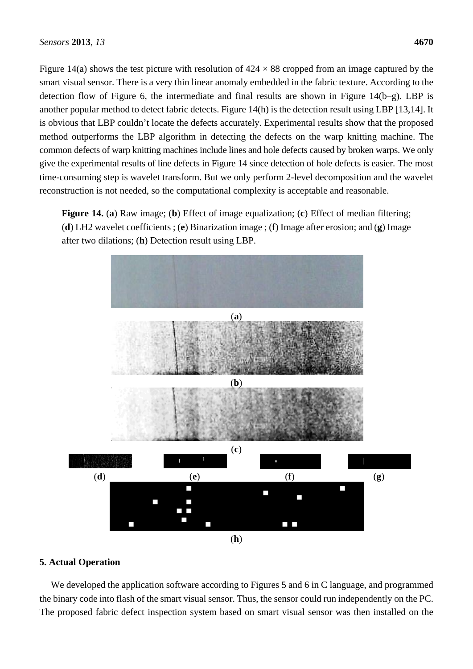Figure 14(a) shows the test picture with resolution of  $424 \times 88$  cropped from an image captured by the smart visual sensor. There is a very thin linear anomaly embedded in the fabric texture. According to the detection flow of Figure 6, the intermediate and final results are shown in Figure 14(b–g). LBP is another popular method to detect fabric detects. Figure 14(h) is the detection result using LBP [13,14]. It is obvious that LBP couldn't locate the defects accurately. Experimental results show that the proposed method outperforms the LBP algorithm in detecting the defects on the warp knitting machine. The common defects of warp knitting machines include lines and hole defects caused by broken warps. We only give the experimental results of line defects in Figure 14 since detection of hole defects is easier. The most time-consuming step is wavelet transform. But we only perform 2-level decomposition and the wavelet reconstruction is not needed, so the computational complexity is acceptable and reasonable.

**Figure 14.** (**a**) Raw image; (**b**) Effect of image equalization; (**c**) Effect of median filtering; (**d**) LH2 wavelet coefficients ; (**e**) Binarization image ; (**f**) Image after erosion; and (**g**) Image after two dilations; (**h**) Detection result using LBP.



#### **5. Actual Operation**

We developed the application software according to Figures 5 and 6 in C language, and programmed the binary code into flash of the smart visual sensor. Thus, the sensor could run independently on the PC. The proposed fabric defect inspection system based on smart visual sensor was then installed on the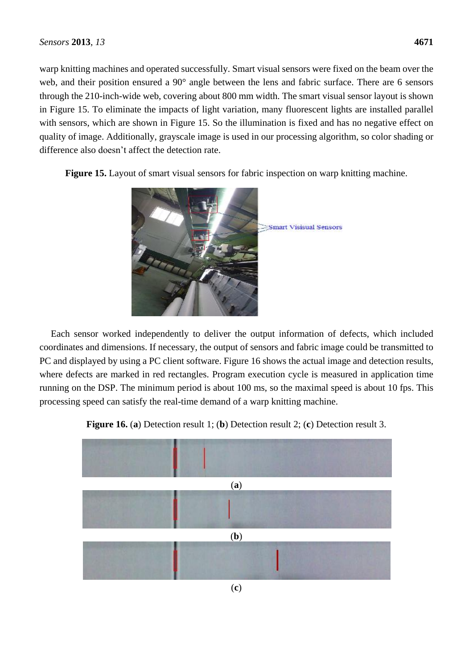warp knitting machines and operated successfully. Smart visual sensors were fixed on the beam over the web, and their position ensured a 90<sup>°</sup> angle between the lens and fabric surface. There are 6 sensors through the 210-inch-wide web, covering about 800 mm width. The smart visual sensor layout is shown in Figure 15. To eliminate the impacts of light variation, many fluorescent lights are installed parallel with sensors, which are shown in Figure 15. So the illumination is fixed and has no negative effect on quality of image. Additionally, grayscale image is used in our processing algorithm, so color shading or difference also doesn't affect the detection rate.

**Figure 15.** Layout of smart visual sensors for fabric inspection on warp knitting machine.



Each sensor worked independently to deliver the output information of defects, which included coordinates and dimensions. If necessary, the output of sensors and fabric image could be transmitted to PC and displayed by using a PC client software. Figure 16 shows the actual image and detection results, where defects are marked in red rectangles. Program execution cycle is measured in application time running on the DSP. The minimum period is about 100 ms, so the maximal speed is about 10 fps. This processing speed can satisfy the real-time demand of a warp knitting machine.



**Figure 16.** (**a**) Detection result 1; (**b**) Detection result 2; (**c**) Detection result 3.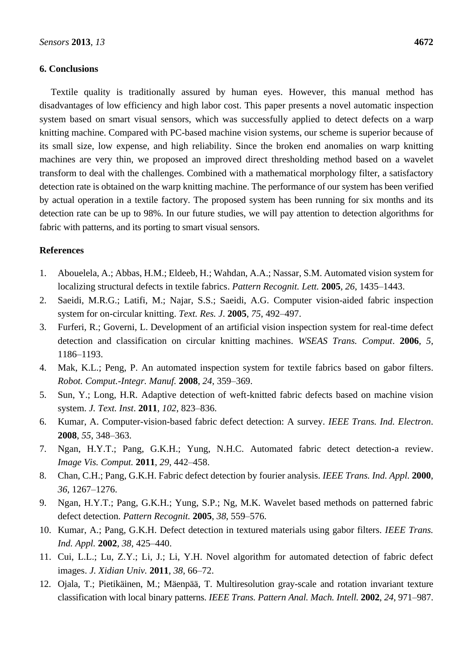#### **6. Conclusions**

Textile quality is traditionally assured by human eyes. However, this manual method has disadvantages of low efficiency and high labor cost. This paper presents a novel automatic inspection system based on smart visual sensors, which was successfully applied to detect defects on a warp knitting machine. Compared with PC-based machine vision systems, our scheme is superior because of its small size, low expense, and high reliability. Since the broken end anomalies on warp knitting machines are very thin, we proposed an improved direct thresholding method based on a wavelet transform to deal with the challenges. Combined with a mathematical morphology filter, a satisfactory detection rate is obtained on the warp knitting machine. The performance of our system has been verified by actual operation in a textile factory. The proposed system has been running for six months and its detection rate can be up to 98%. In our future studies, we will pay attention to detection algorithms for fabric with patterns, and its porting to smart visual sensors.

#### **References**

- 1. Abouelela, A.; Abbas, H.M.; Eldeeb, H.; Wahdan, A.A.; Nassar, S.M. Automated vision system for localizing structural defects in textile fabrics. *Pattern Recognit. Lett.* **2005**, *26*, 1435–1443.
- 2. Saeidi, M.R.G.; Latifi, M.; Najar, S.S.; Saeidi, A.G. Computer vision-aided fabric inspection system for on-circular knitting. *Text. Res. J*. **2005**, *75*, 492–497.
- 3. Furferi, R.; Governi, L. Development of an artificial vision inspection system for real-time defect detection and classification on circular knitting machines. *WSEAS Trans. Comput*. **2006**, *5*, 1186–1193.
- 4. Mak, K.L.; Peng, P. An automated inspection system for textile fabrics based on gabor filters. *Robot. Comput.-Integr. Manuf.* **2008**, *24*, 359–369.
- 5. Sun, Y.; Long, H.R. Adaptive detection of weft-knitted fabric defects based on machine vision system. *J. Text. Inst*. **2011**, *102*, 823–836.
- 6. Kumar, A. Computer-vision-based fabric defect detection: A survey. *IEEE Trans. Ind. Electron*. **2008**, *55*, 348–363.
- 7. Ngan, H.Y.T.; Pang, G.K.H.; Yung, N.H.C. Automated fabric detect detection-a review. *Image Vis. Comput.* **2011**, *29*, 442–458.
- 8. Chan, C.H.; Pang, G.K.H. Fabric defect detection by fourier analysis. *IEEE Trans. Ind. Appl.* **2000**, *36*, 1267–1276.
- 9. Ngan, H.Y.T.; Pang, G.K.H.; Yung, S.P.; Ng, M.K. Wavelet based methods on patterned fabric defect detection. *Pattern Recognit.* **2005**, *38*, 559–576.
- 10. Kumar, A.; Pang, G.K.H. Defect detection in textured materials using gabor filters. *IEEE Trans. Ind. Appl.* **2002**, *38*, 425–440.
- 11. Cui, L.L.; Lu, Z.Y.; Li, J.; Li, Y.H. Novel algorithm for automated detection of fabric defect images. *J. Xidian Univ.* **2011**, *38*, 66–72.
- 12. Ojala, T.; Pietikäinen, M.; Mäenpää, T. Multiresolution gray-scale and rotation invariant texture classification with local binary patterns. *IEEE Trans. Pattern Anal. Mach. Intell.* **2002**, *24*, 971–987.